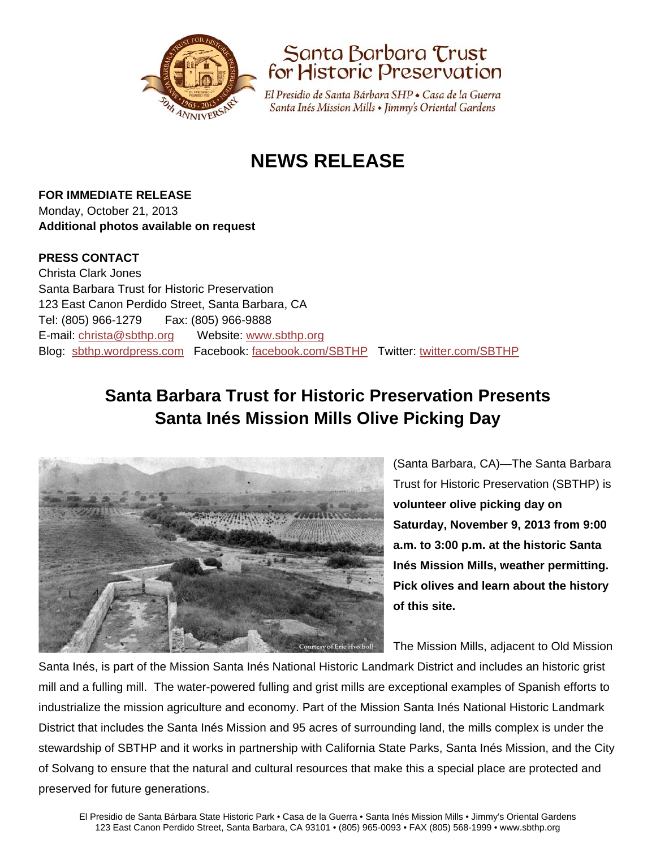



El Presidio de Santa Bárbara SHP · Casa de la Guerra Santa Inés Mission Mills • Jimmy's Oriental Gardens

# **NEWS RELEASE**

**FOR IMMEDIATE RELEASE** Monday, October 21, 2013 **Additional photos available on request** 

### **PRESS CONTACT**

Christa Clark Jones Santa Barbara Trust for Historic Preservation 123 East Canon Perdido Street, Santa Barbara, CA Tel: (805) 966-1279 Fax: (805) 966-9888 E-mail: christa@sbthp.org Website: www.sbthp.org Blog: sbthp.wordpress.com Facebook: facebook.com/SBTHP Twitter: twitter.com/SBTHP

## **Santa Barbara Trust for Historic Preservation Presents Santa Inés Mission Mills Olive Picking Day**



(Santa Barbara, CA)—The Santa Barbara Trust for Historic Preservation (SBTHP) is **volunteer olive picking day on Saturday, November 9, 2013 from 9:00 a.m. to 3:00 p.m. at the historic Santa Inés Mission Mills, weather permitting. Pick olives and learn about the history of this site.** 

The Mission Mills, adjacent to Old Mission

Santa Inés, is part of the Mission Santa Inés National Historic Landmark District and includes an historic grist mill and a fulling mill. The water-powered fulling and grist mills are exceptional examples of Spanish efforts to industrialize the mission agriculture and economy. Part of the Mission Santa Inés National Historic Landmark District that includes the Santa Inés Mission and 95 acres of surrounding land, the mills complex is under the stewardship of SBTHP and it works in partnership with California State Parks, Santa Inés Mission, and the City of Solvang to ensure that the natural and cultural resources that make this a special place are protected and preserved for future generations.